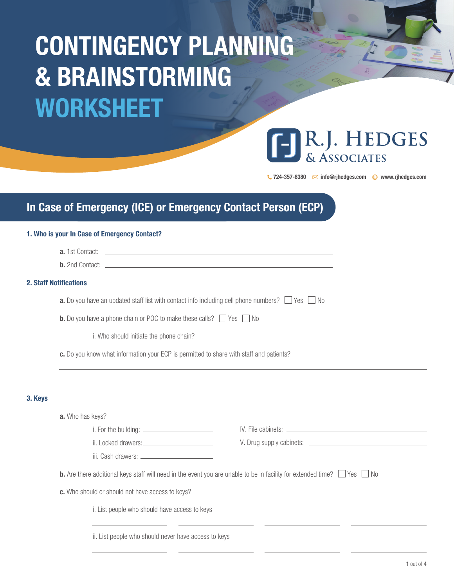# CONTINGENCY PLANNING & BRAINSTORMING WORKSHEET

# R.J. HEDGES **ÁSSOCIATES**

 $\bigcup$  724-357-8380  $\boxtimes$  info@rjhedges.com  $\bigoplus$  www.rjhedges.com

## In Case of Emergency (ICE) or Emergency Contact Person (ECP)

#### 1. Who is your In Case of Emergency Contact?

|         | <b>2. Staff Notifications</b>                                                                                                             |  |
|---------|-------------------------------------------------------------------------------------------------------------------------------------------|--|
|         | <b>a.</b> Do you have an updated staff list with contact info including cell phone numbers? $\Box$ Yes $\Box$ No                          |  |
|         | <b>b.</b> Do you have a phone chain or POC to make these calls? Yes No                                                                    |  |
|         |                                                                                                                                           |  |
|         | c. Do you know what information your ECP is permitted to share with staff and patients?                                                   |  |
| 3. Keys |                                                                                                                                           |  |
|         | a. Who has keys?                                                                                                                          |  |
|         |                                                                                                                                           |  |
|         |                                                                                                                                           |  |
|         |                                                                                                                                           |  |
|         | <b>b.</b> Are there additional keys staff will need in the event you are unable to be in facility for extended time? $\Box$ Yes $\Box$ No |  |
|         | c. Who should or should not have access to keys?                                                                                          |  |
|         | i. List people who should have access to keys                                                                                             |  |
|         | ii. List people who should never have access to keys                                                                                      |  |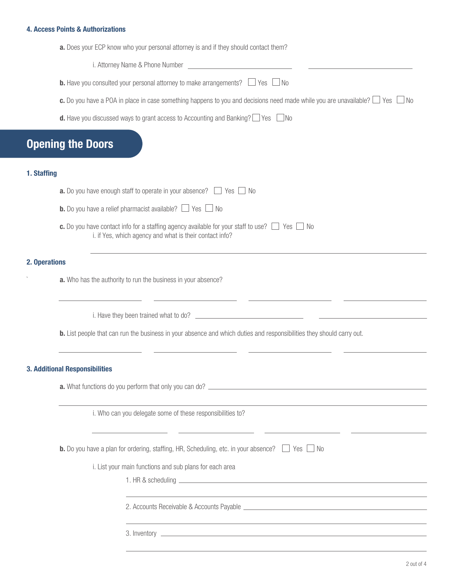#### 4. Access Points & Authorizations

| i. Attorney Name & Phone Number                                                                                                                                                                                                                                                                                                                         |
|---------------------------------------------------------------------------------------------------------------------------------------------------------------------------------------------------------------------------------------------------------------------------------------------------------------------------------------------------------|
| <b>b.</b> Have you consulted your personal attorney to make arrangements? $\Box$ Yes $\Box$ No                                                                                                                                                                                                                                                          |
| <b>c.</b> Do you have a POA in place in case something happens to you and decisions need made while you are unavailable? □ Yes<br>⊥ No                                                                                                                                                                                                                  |
| <b>d.</b> Have you discussed ways to grant access to Accounting and Banking? $\Box$ Yes $\Box$ No                                                                                                                                                                                                                                                       |
| <b>Opening the Doors</b>                                                                                                                                                                                                                                                                                                                                |
| 1. Staffing                                                                                                                                                                                                                                                                                                                                             |
| <b>a.</b> Do you have enough staff to operate in your absence? $\Box$ Yes $\Box$ No                                                                                                                                                                                                                                                                     |
| <b>b.</b> Do you have a relief pharmacist available? $\Box$ Yes $\Box$ No                                                                                                                                                                                                                                                                               |
| c. Do you have contact info for a staffing agency available for your staff to use? $\Box$ Yes $\Box$ No<br>i. if Yes, which agency and what is their contact info?                                                                                                                                                                                      |
| 2. Operations                                                                                                                                                                                                                                                                                                                                           |
| a. Who has the authority to run the business in your absence?                                                                                                                                                                                                                                                                                           |
|                                                                                                                                                                                                                                                                                                                                                         |
| <b>b.</b> List people that can run the business in your absence and which duties and responsibilities they should carry out.                                                                                                                                                                                                                            |
| <b>3. Additional Responsibilities</b>                                                                                                                                                                                                                                                                                                                   |
|                                                                                                                                                                                                                                                                                                                                                         |
| i. Who can you delegate some of these responsibilities to?                                                                                                                                                                                                                                                                                              |
| <u> 1999 - Johann Harry Harry Harry Harry Harry Harry Harry Harry Harry Harry Harry Harry Harry Harry Harry Harry Harry Harry Harry Harry Harry Harry Harry Harry Harry Harry Harry Harry Harry Harry Harry Harry Harry Harry Ha</u><br><b>b.</b> Do you have a plan for ordering, staffing, HR, Scheduling, etc. in your absence? $\Box$ Yes $\Box$ No |
| i. List your main functions and sub plans for each area                                                                                                                                                                                                                                                                                                 |
|                                                                                                                                                                                                                                                                                                                                                         |
|                                                                                                                                                                                                                                                                                                                                                         |
| ,我们也不会有什么。""我们的人,我们也不会有什么?""我们的人,我们也不会有什么?""我们的人,我们也不会有什么?""我们的人,我们也不会有什么?""我们的人                                                                                                                                                                                                                                                                        |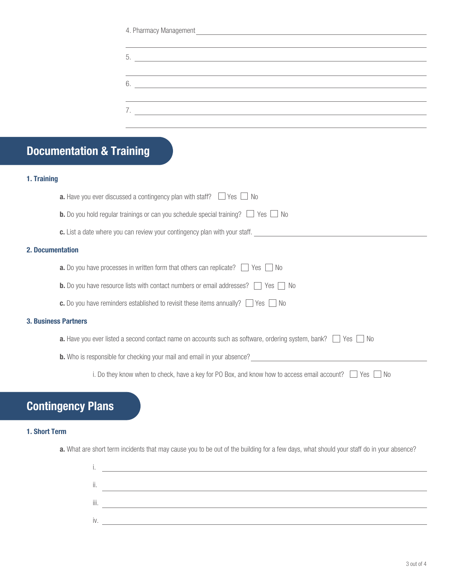| 4. Pharmacy Management |  |
|------------------------|--|
|                        |  |

# Documentation & Training

#### 1. Training

|                             | <b>a.</b> Have you ever discussed a contingency plan with staff? $\Box$ Yes $\Box$<br>- I No                      |  |
|-----------------------------|-------------------------------------------------------------------------------------------------------------------|--|
|                             | <b>b.</b> Do you hold regular trainings or can you schedule special training? $\Box$ Yes $\Box$<br>No.            |  |
|                             | c. List a date where you can review your contingency plan with your staff.                                        |  |
| <b>2. Documentation</b>     |                                                                                                                   |  |
|                             | <b>a.</b> Do you have processes in written form that others can replicate? $\Box$ Yes $\Box$<br>- No              |  |
|                             | <b>b.</b> Do you have resource lists with contact numbers or email addresses? $\Box$ Yes [<br>- No                |  |
|                             | <b>c.</b> Do you have reminders established to revisit these items annually? $\Box$ Yes $\Box$ No                 |  |
| <b>3. Business Partners</b> |                                                                                                                   |  |
|                             | <b>a.</b> Have you ever listed a second contact name on accounts such as software, ordering system, bank?<br>- No |  |
|                             | <b>b.</b> Who is responsible for checking your mail and email in your absence?                                    |  |
|                             | i. Do they know when to check, have a key for PO Box, and know how to access email account?<br>Yes I<br>- No      |  |
|                             |                                                                                                                   |  |

### Contingency Plans

#### 1. Short Term

a. What are short term incidents that may cause you to be out of the building for a few days, what should your staff do in your absence?

| iii. |  |
|------|--|
|      |  |
|      |  |